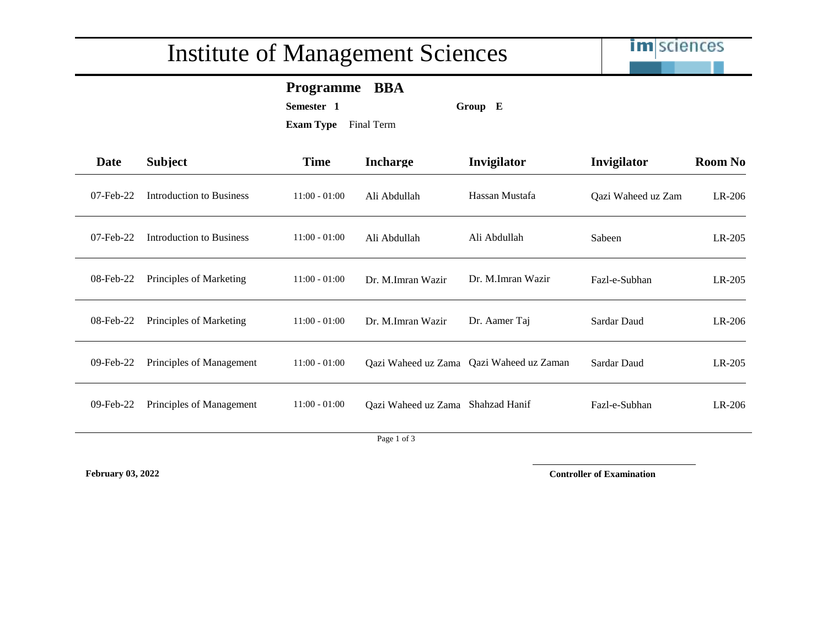## Institute of Management Sciences



### **Programme BBA**

**Semester 1 Group E**

**Exam Type** Final Term

| Date      | <b>Subject</b>           | <b>Time</b>     | <b>Incharge</b>                  | Invigilator          | Invigilator        | <b>Room No</b> |
|-----------|--------------------------|-----------------|----------------------------------|----------------------|--------------------|----------------|
| 07-Feb-22 | Introduction to Business | $11:00 - 01:00$ | Ali Abdullah                     | Hassan Mustafa       | Qazi Waheed uz Zam | LR-206         |
| 07-Feb-22 | Introduction to Business | $11:00 - 01:00$ | Ali Abdullah                     | Ali Abdullah         | Sabeen             | LR-205         |
| 08-Feb-22 | Principles of Marketing  | $11:00 - 01:00$ | Dr. M.Imran Wazir                | Dr. M.Imran Wazir    | Fazl-e-Subhan      | $LR-205$       |
| 08-Feb-22 | Principles of Marketing  | $11:00 - 01:00$ | Dr. M.Imran Wazir                | Dr. Aamer Taj        | Sardar Daud        | $LR-206$       |
| 09-Feb-22 | Principles of Management | $11:00 - 01:00$ | Qazi Waheed uz Zama              | Qazi Waheed uz Zaman | Sardar Daud        | LR-205         |
| 09-Feb-22 | Principles of Management | $11:00 - 01:00$ | Qazi Waheed uz Zama              | Shahzad Hanif        | Fazl-e-Subhan      | $LR-206$       |
|           |                          |                 | $D_{\text{max}} 1 \text{ of } 2$ |                      |                    |                |

Page 1 of 3

**February 03, 2022 Controller of Examination**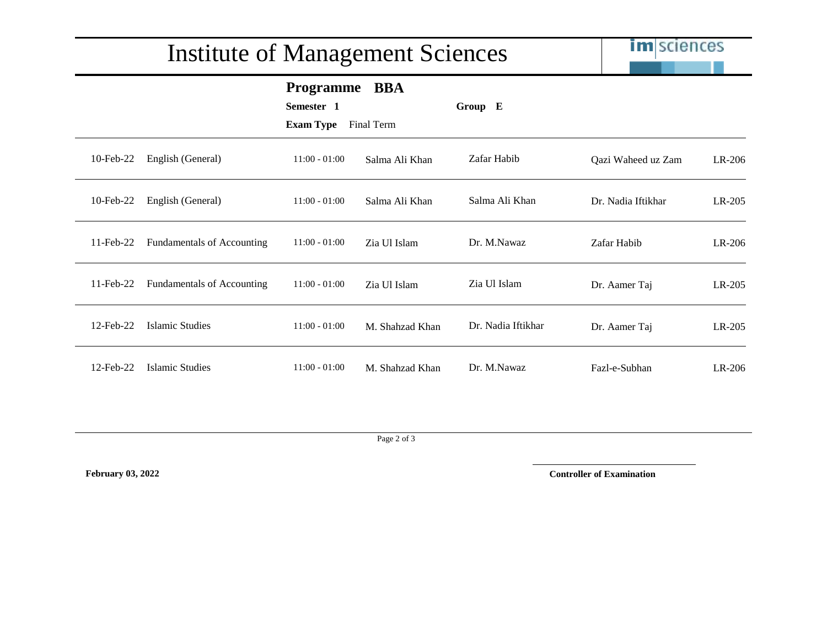# Institute of Management Sciences

**im** sciences

|                 |                                   | <b>Programme</b><br>Semester 1 | <b>BBA</b>      | Group E            |                    |          |
|-----------------|-----------------------------------|--------------------------------|-----------------|--------------------|--------------------|----------|
|                 |                                   | <b>Exam Type</b>               | Final Term      |                    |                    |          |
| 10-Feb-22       | English (General)                 | $11:00 - 01:00$                | Salma Ali Khan  | Zafar Habib        | Qazi Waheed uz Zam | LR-206   |
| 10-Feb-22       | English (General)                 | $11:00 - 01:00$                | Salma Ali Khan  | Salma Ali Khan     | Dr. Nadia Iftikhar | LR-205   |
| $11$ -Feb-22    | <b>Fundamentals of Accounting</b> | $11:00 - 01:00$                | Zia Ul Islam    | Dr. M.Nawaz        | Zafar Habib        | LR-206   |
| $11$ -Feb-22    | <b>Fundamentals of Accounting</b> | $11:00 - 01:00$                | Zia Ul Islam    | Zia Ul Islam       | Dr. Aamer Taj      | $LR-205$ |
| 12-Feb-22       | Islamic Studies                   | $11:00 - 01:00$                | M. Shahzad Khan | Dr. Nadia Iftikhar | Dr. Aamer Taj      | LR-205   |
| $12$ -Feb- $22$ | Islamic Studies                   | $11:00 - 01:00$                | M. Shahzad Khan | Dr. M.Nawaz        | Fazl-e-Subhan      | $LR-206$ |

Page 2 of 3

**February 03, 2022 Controller of Examination**